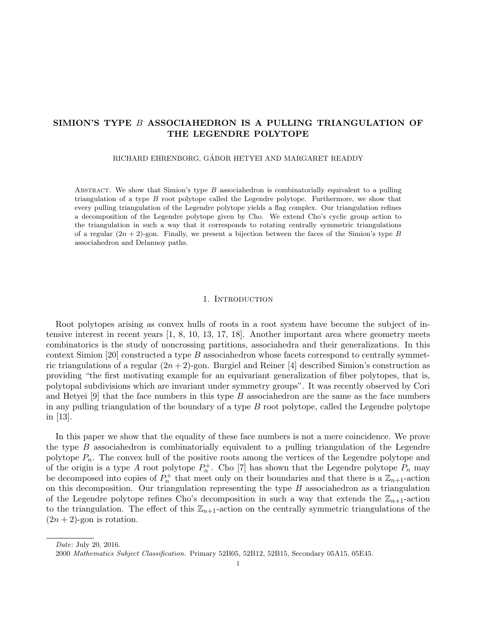# SIMION'S TYPE B ASSOCIAHEDRON IS A PULLING TRIANGULATION OF THE LEGENDRE POLYTOPE

RICHARD EHRENBORG, GÁBOR HETYEI AND MARGARET READDY

ABSTRACT. We show that Simion's type  $B$  associahedron is combinatorially equivalent to a pulling triangulation of a type B root polytope called the Legendre polytope. Furthermore, we show that every pulling triangulation of the Legendre polytope yields a flag complex. Our triangulation refines a decomposition of the Legendre polytope given by Cho. We extend Cho's cyclic group action to the triangulation in such a way that it corresponds to rotating centrally symmetric triangulations of a regular  $(2n + 2)$ -gon. Finally, we present a bijection between the faces of the Simion's type B associahedron and Delannoy paths.

#### 1. INTRODUCTION

Root polytopes arising as convex hulls of roots in a root system have become the subject of intensive interest in recent years [1, 8, 10, 13, 17, 18]. Another important area where geometry meets combinatorics is the study of noncrossing partitions, associahedra and their generalizations. In this context Simion [20] constructed a type B associahedron whose facets correspond to centrally symmetric triangulations of a regular  $(2n + 2)$ -gon. Burgiel and Reiner [4] described Simion's construction as providing "the first motivating example for an equivariant generalization of fiber polytopes, that is, polytopal subdivisions which are invariant under symmetry groups". It was recently observed by Cori and Hetyei [9] that the face numbers in this type  $B$  associahedron are the same as the face numbers in any pulling triangulation of the boundary of a type  $B$  root polytope, called the Legendre polytope in [13].

In this paper we show that the equality of these face numbers is not a mere coincidence. We prove the type B associahedron is combinatorially equivalent to a pulling triangulation of the Legendre polytope  $P_n$ . The convex hull of the positive roots among the vertices of the Legendre polytope and of the origin is a type A root polytope  $P_n^+$ . Cho [7] has shown that the Legendre polytope  $P_n$  may be decomposed into copies of  $P_n^+$  that meet only on their boundaries and that there is a  $\mathbb{Z}_{n+1}$ -action on this decomposition. Our triangulation representing the type  $B$  associahedron as a triangulation of the Legendre polytope refines Cho's decomposition in such a way that extends the  $\mathbb{Z}_{n+1}$ -action to the triangulation. The effect of this  $\mathbb{Z}_{n+1}$ -action on the centrally symmetric triangulations of the  $(2n + 2)$ -gon is rotation.

Date: July 20, 2016.

<sup>2000</sup> Mathematics Subject Classification. Primary 52B05, 52B12, 52B15, Secondary 05A15, 05E45.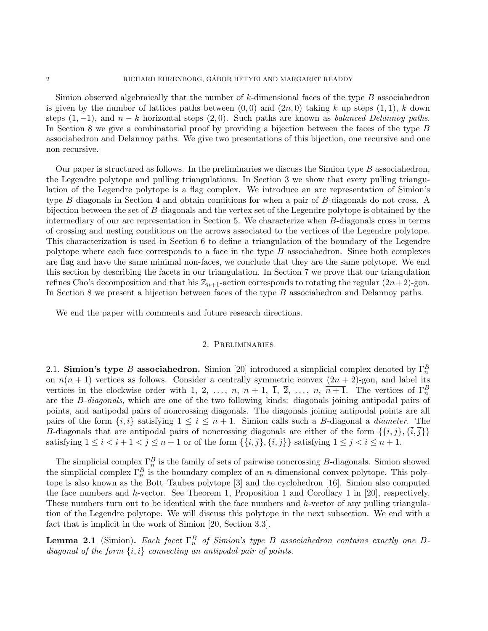Simion observed algebraically that the number of k-dimensional faces of the type B associahedron is given by the number of lattices paths between  $(0,0)$  and  $(2n,0)$  taking k up steps  $(1,1)$ , k down steps  $(1, -1)$ , and  $n - k$  horizontal steps  $(2, 0)$ . Such paths are known as balanced Delannoy paths. In Section 8 we give a combinatorial proof by providing a bijection between the faces of the type B associahedron and Delannoy paths. We give two presentations of this bijection, one recursive and one non-recursive.

Our paper is structured as follows. In the preliminaries we discuss the Simion type B associahedron, the Legendre polytope and pulling triangulations. In Section 3 we show that every pulling triangulation of the Legendre polytope is a flag complex. We introduce an arc representation of Simion's type B diagonals in Section 4 and obtain conditions for when a pair of B-diagonals do not cross. A bijection between the set of B-diagonals and the vertex set of the Legendre polytope is obtained by the intermediary of our arc representation in Section 5. We characterize when B-diagonals cross in terms of crossing and nesting conditions on the arrows associated to the vertices of the Legendre polytope. This characterization is used in Section 6 to define a triangulation of the boundary of the Legendre polytope where each face corresponds to a face in the type B associahedron. Since both complexes are flag and have the same minimal non-faces, we conclude that they are the same polytope. We end this section by describing the facets in our triangulation. In Section 7 we prove that our triangulation refines Cho's decomposition and that his  $\mathbb{Z}_{n+1}$ -action corresponds to rotating the regular  $(2n+2)$ -gon. In Section 8 we present a bijection between faces of the type B associahedron and Delannoy paths.

We end the paper with comments and future research directions.

### 2. Preliminaries

2.1. Simion's type B associahedron. Simion [20] introduced a simplicial complex denoted by  $\Gamma_n^B$ on  $n(n + 1)$  vertices as follows. Consider a centrally symmetric convex  $(2n + 2)$ -gon, and label its vertices in the clockwise order with 1, 2, ..., n, n + 1,  $\overline{1}$ ,  $\overline{2}$ , ...,  $\overline{n}$ ,  $\overline{n+1}$ . The vertices of  $\Gamma_n^B$ are the B-diagonals, which are one of the two following kinds: diagonals joining antipodal pairs of points, and antipodal pairs of noncrossing diagonals. The diagonals joining antipodal points are all pairs of the form  $\{i,\overline{i}\}$  satisfying  $1 \leq i \leq n+1$ . Simion calls such a B-diagonal a *diameter*. The B-diagonals that are antipodal pairs of noncrossing diagonals are either of the form  $\{\{i, j\}, \{\bar{i}, \bar{j}\}\}\$ satisfying  $1 \leq i < i+1 < j \leq n+1$  or of the form  $\{\{i,\overline{j}\},\{\overline{i},j\}\}\$  satisfying  $1 \leq j < i \leq n+1$ .

The simplicial complex  $\Gamma_n^B$  is the family of sets of pairwise noncrossing B-diagonals. Simion showed the simplicial complex  $\Gamma_n^B$  is the boundary complex of an *n*-dimensional convex polytope. This polytope is also known as the Bott–Taubes polytope [3] and the cyclohedron [16]. Simion also computed the face numbers and h-vector. See Theorem 1, Proposition 1 and Corollary 1 in [20], respectively. These numbers turn out to be identical with the face numbers and h-vector of any pulling triangulation of the Legendre polytope. We will discuss this polytope in the next subsection. We end with a fact that is implicit in the work of Simion [20, Section 3.3].

**Lemma 2.1** (Simion). Each facet  $\Gamma_n^B$  of Simion's type B associahedron contains exactly one Bdiagonal of the form  $\{i,\overline{i}\}$  connecting an antipodal pair of points.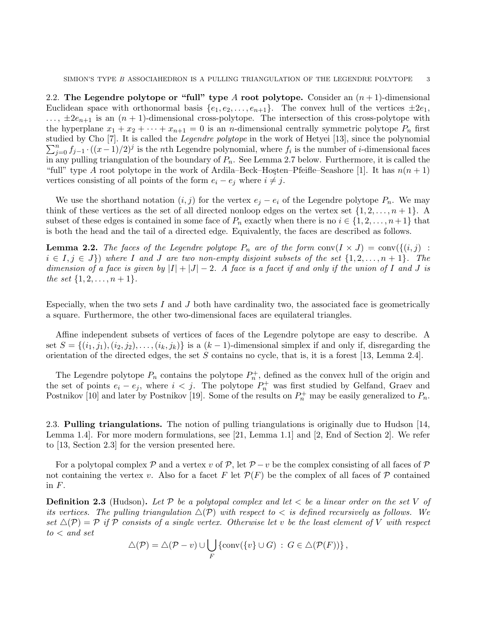2.2. The Legendre polytope or "full" type A root polytope. Consider an  $(n + 1)$ -dimensional Euclidean space with orthonormal basis  $\{e_1, e_2, \ldots, e_{n+1}\}\$ . The convex hull of the vertices  $\pm 2e_1$ ,  $\ldots$ ,  $\pm 2e_{n+1}$  is an  $(n+1)$ -dimensional cross-polytope. The intersection of this cross-polytope with the hyperplane  $x_1 + x_2 + \cdots + x_{n+1} = 0$  is an *n*-dimensional centrally symmetric polytope  $P_n$  first  $\sum_{j=0}^{n} f_{j-1} \cdot ((x-1)/2)^j$  is the *n*th Legendre polynomial, where  $f_i$  is the number of *i*-dimensional faces studied by Cho [7]. It is called the Legendre polytope in the work of Hetyei [13], since the polynomial in any pulling triangulation of the boundary of  $P_n$ . See Lemma 2.7 below. Furthermore, it is called the "full" type A root polytope in the work of Ardila–Beck–Hosten–Pfeifle–Seashore [1]. It has  $n(n + 1)$ vertices consisting of all points of the form  $e_i - e_j$  where  $i \neq j$ .

We use the shorthand notation  $(i, j)$  for the vertex  $e_j - e_i$  of the Legendre polytope  $P_n$ . We may think of these vertices as the set of all directed nonloop edges on the vertex set  $\{1, 2, \ldots, n+1\}$ . subset of these edges is contained in some face of  $P_n$  exactly when there is no  $i \in \{1, 2, \ldots, n+1\}$  that is both the head and the tail of a directed edge. Equivalently, the faces are described as follows.

**Lemma 2.2.** The faces of the Legendre polytope  $P_n$  are of the form conv $(I \times J) = \text{conv}(\{(i,j) : J \times J)$  $i \in I, j \in J$ ) where I and J are two non-empty disjoint subsets of the set  $\{1, 2, \ldots, n+1\}$ . The dimension of a face is given by  $|I| + |J| - 2$ . A face is a facet if and only if the union of I and J is the set  $\{1, 2, \ldots, n+1\}.$ 

Especially, when the two sets I and J both have cardinality two, the associated face is geometrically a square. Furthermore, the other two-dimensional faces are equilateral triangles.

Affine independent subsets of vertices of faces of the Legendre polytope are easy to describe. A set  $S = \{(i_1, j_1), (i_2, j_2), \ldots, (i_k, j_k)\}\$ is a  $(k-1)$ -dimensional simplex if and only if, disregarding the orientation of the directed edges, the set S contains no cycle, that is, it is a forest [13, Lemma 2.4].

The Legendre polytope  $P_n$  contains the polytope  $P_n^+$ , defined as the convex hull of the origin and the set of points  $e_i - e_j$ , where  $i < j$ . The polytope  $P_n^+$  was first studied by Gelfand, Graev and Postnikov [10] and later by Postnikov [19]. Some of the results on  $P_n^+$  may be easily generalized to  $P_n$ .

2.3. Pulling triangulations. The notion of pulling triangulations is originally due to Hudson [14, Lemma 1.4]. For more modern formulations, see [21, Lemma 1.1] and [2, End of Section 2]. We refer to [13, Section 2.3] for the version presented here.

For a polytopal complex  $\mathcal P$  and a vertex v of  $\mathcal P$ , let  $\mathcal P - v$  be the complex consisting of all faces of  $\mathcal P$ not containing the vertex v. Also for a facet F let  $\mathcal{P}(F)$  be the complex of all faces of P contained in  $F$ .

**Definition 2.3** (Hudson). Let P be a polytopal complex and let  $\lt$  be a linear order on the set V of its vertices. The pulling triangulation  $\Delta(P)$  with respect to  $\langle$  is defined recursively as follows. We set  $\Delta(\mathcal{P}) = \mathcal{P}$  if  $\mathcal P$  consists of a single vertex. Otherwise let v be the least element of V with respect  $to <$  and set

$$
\triangle(\mathcal{P}) = \triangle(\mathcal{P} - v) \cup \bigcup_{F} \{ \text{conv}(\{v\} \cup G) : G \in \triangle(\mathcal{P}(F)) \},
$$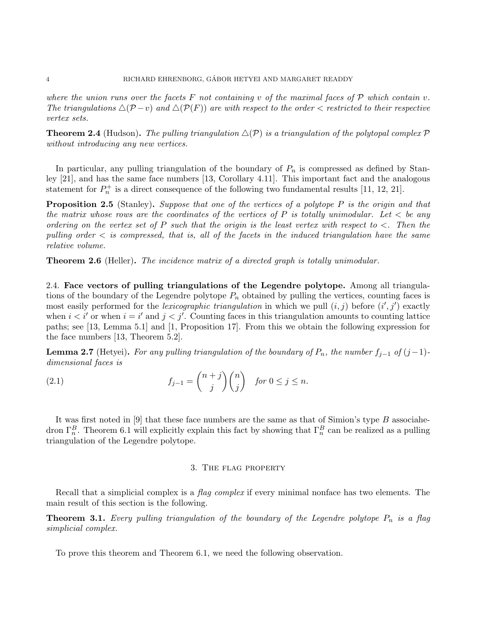where the union runs over the facets F not containing v of the maximal faces of  $\mathcal P$  which contain v. The triangulations  $\Delta(\mathcal{P}-v)$  and  $\Delta(\mathcal{P}(F))$  are with respect to the order  $\leq$  restricted to their respective vertex sets.

**Theorem 2.4** (Hudson). The pulling triangulation  $\Delta(\mathcal{P})$  is a triangulation of the polytopal complex  $\mathcal{P}$ without introducing any new vertices.

In particular, any pulling triangulation of the boundary of  $P_n$  is compressed as defined by Stanley [21], and has the same face numbers [13, Corollary 4.11]. This important fact and the analogous statement for  $P_n^+$  is a direct consequence of the following two fundamental results [11, 12, 21].

**Proposition 2.5** (Stanley). Suppose that one of the vertices of a polytope P is the origin and that the matrix whose rows are the coordinates of the vertices of  $P$  is totally unimodular. Let  $\langle$  be any ordering on the vertex set of P such that the origin is the least vertex with respect to  $\lt$ . Then the pulling order  $\lt$  is compressed, that is, all of the facets in the induced triangulation have the same relative volume.

**Theorem 2.6** (Heller). The incidence matrix of a directed graph is totally unimodular.

2.4. Face vectors of pulling triangulations of the Legendre polytope. Among all triangulations of the boundary of the Legendre polytope  $P_n$  obtained by pulling the vertices, counting faces is most easily performed for the lexicographic triangulation in which we pull  $(i, j)$  before  $(i', j')$  exactly when  $i < i'$  or when  $i = i'$  and  $j < j'$ . Counting faces in this triangulation amounts to counting lattice paths; see [13, Lemma 5.1] and [1, Proposition 17]. From this we obtain the following expression for the face numbers [13, Theorem 5.2].

**Lemma 2.7** (Hetyei). For any pulling triangulation of the boundary of  $P_n$ , the number  $f_{j-1}$  of  $(j-1)$ dimensional faces is

(2.1) 
$$
f_{j-1} = {n+j \choose j} {n \choose j} \quad \text{for } 0 \le j \le n.
$$

It was first noted in  $[9]$  that these face numbers are the same as that of Simion's type  $B$  associahedron  $\Gamma_n^B$ . Theorem 6.1 will explicitly explain this fact by showing that  $\Gamma_n^B$  can be realized as a pulling triangulation of the Legendre polytope.

### 3. The flag property

Recall that a simplicial complex is a flag complex if every minimal nonface has two elements. The main result of this section is the following.

**Theorem 3.1.** Every pulling triangulation of the boundary of the Legendre polytope  $P_n$  is a flag simplicial complex.

To prove this theorem and Theorem 6.1, we need the following observation.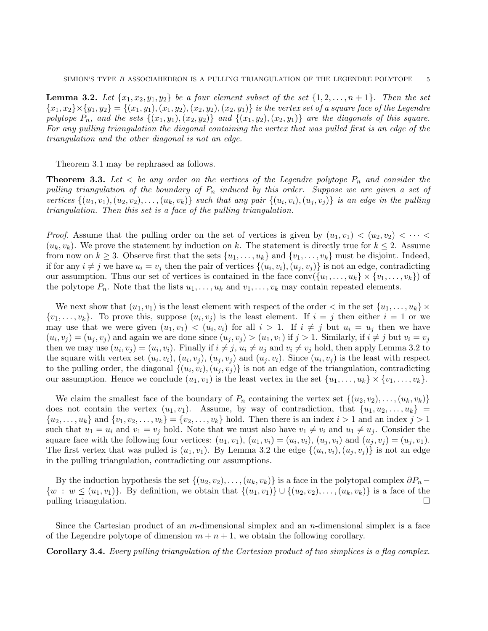**Lemma 3.2.** Let  $\{x_1, x_2, y_1, y_2\}$  be a four element subset of the set  $\{1, 2, \ldots, n+1\}$ . Then the set  ${x_1, x_2} \times {y_1, y_2} = {(x_1, y_1), (x_1, y_2), (x_2, y_2), (x_2, y_1)}$  is the vertex set of a square face of the Legendre polytope  $P_n$ , and the sets  $\{(x_1,y_1),(x_2,y_2)\}\$  and  $\{(x_1,y_2),(x_2,y_1)\}\$  are the diagonals of this square. For any pulling triangulation the diagonal containing the vertex that was pulled first is an edge of the triangulation and the other diagonal is not an edge.

Theorem 3.1 may be rephrased as follows.

**Theorem 3.3.** Let  $\lt$  be any order on the vertices of the Legendre polytope  $P_n$  and consider the pulling triangulation of the boundary of  $P_n$  induced by this order. Suppose we are given a set of vertices  $\{(u_1, v_1), (u_2, v_2), \ldots, (u_k, v_k)\}\$  such that any pair  $\{(u_i, v_i), (u_j, v_j)\}\$  is an edge in the pulling triangulation. Then this set is a face of the pulling triangulation.

*Proof.* Assume that the pulling order on the set of vertices is given by  $(u_1, v_1) < (u_2, v_2) < \cdots <$  $(u_k, v_k)$ . We prove the statement by induction on k. The statement is directly true for  $k \leq 2$ . Assume from now on  $k \geq 3$ . Observe first that the sets  $\{u_1, \ldots, u_k\}$  and  $\{v_1, \ldots, v_k\}$  must be disjoint. Indeed, if for any  $i \neq j$  we have  $u_i = v_j$  then the pair of vertices  $\{(u_i, v_i), (u_j, v_j)\}\$ is not an edge, contradicting our assumption. Thus our set of vertices is contained in the face  $conv({u_1, \ldots, u_k} \times {v_1, \ldots, v_k})$  of the polytope  $P_n$ . Note that the lists  $u_1, \ldots, u_k$  and  $v_1, \ldots, v_k$  may contain repeated elements.

We next show that  $(u_1, v_1)$  is the least element with respect of the order  $\lt$  in the set  $\{u_1, \ldots, u_k\}$  $\{v_1, \ldots, v_k\}$ . To prove this, suppose  $(u_i, v_j)$  is the least element. If  $i = j$  then either  $i = 1$  or we may use that we were given  $(u_1, v_1) < (u_i, v_i)$  for all  $i > 1$ . If  $i \neq j$  but  $u_i = u_j$  then we have  $(u_i, v_j) = (u_j, v_j)$  and again we are done since  $(u_j, v_j) > (u_1, v_1)$  if  $j > 1$ . Similarly, if  $i \neq j$  but  $v_i = v_j$ then we may use  $(u_i, v_j) = (u_i, v_i)$ . Finally if  $i \neq j$ ,  $u_i \neq u_j$  and  $v_i \neq v_j$  hold, then apply Lemma 3.2 to the square with vertex set  $(u_i, v_i)$ ,  $(u_i, v_j)$ ,  $(u_j, v_j)$  and  $(u_j, v_i)$ . Since  $(u_i, v_j)$  is the least with respect to the pulling order, the diagonal  $\{(u_i, v_i), (u_j, v_j)\}\$ is not an edge of the triangulation, contradicting our assumption. Hence we conclude  $(u_1, v_1)$  is the least vertex in the set  $\{u_1, \ldots, u_k\} \times \{v_1, \ldots, v_k\}.$ 

We claim the smallest face of the boundary of  $P_n$  containing the vertex set  $\{(u_2, v_2), \ldots, (u_k, v_k)\}$ does not contain the vertex  $(u_1, v_1)$ . Assume, by way of contradiction, that  $\{u_1, u_2, \ldots, u_k\}$  $\{u_2, \ldots, u_k\}$  and  $\{v_1, v_2, \ldots, v_k\} = \{v_2, \ldots, v_k\}$  hold. Then there is an index  $i > 1$  and an index  $j > 1$ such that  $u_1 = u_i$  and  $v_1 = v_j$  hold. Note that we must also have  $v_1 \neq v_i$  and  $u_1 \neq u_j$ . Consider the square face with the following four vertices:  $(u_1, v_1), (u_1, v_i) = (u_i, v_i), (u_j, v_i)$  and  $(u_j, v_j) = (u_j, v_1)$ . The first vertex that was pulled is  $(u_1, v_1)$ . By Lemma 3.2 the edge  $\{(u_i, v_i), (u_j, v_j)\}$  is not an edge in the pulling triangulation, contradicting our assumptions.

By the induction hypothesis the set  $\{(u_2, v_2), \ldots, (u_k, v_k)\}\$ is a face in the polytopal complex  $\partial P_n$  –  $\{w : w \leq (u_1, v_1)\}\$ . By definition, we obtain that  $\{(u_1, v_1)\} \cup \{(u_2, v_2), \ldots, (u_k, v_k)\}\$ is a face of the pulling triangulation.

Since the Cartesian product of an  $m$ -dimensional simplex and an  $n$ -dimensional simplex is a face of the Legendre polytope of dimension  $m + n + 1$ , we obtain the following corollary.

Corollary 3.4. Every pulling triangulation of the Cartesian product of two simplices is a flag complex.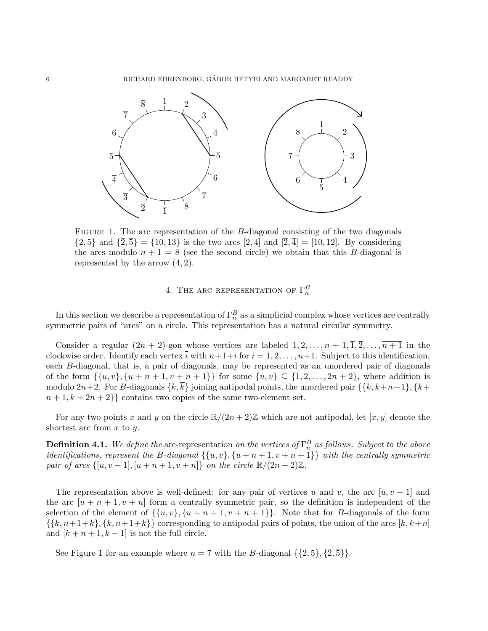6 RICHARD EHRENBORG, GABOR HETYEI AND MARGARET READDY ´



FIGURE 1. The arc representation of the B-diagonal consisting of the two diagonals  $\{2,5\}$  and  $\{\overline{2},\overline{5}\}=\{10,13\}$  is the two arcs  $[2,4]$  and  $[\overline{2},\overline{4}] = [10,12]$ . By considering the arcs modulo  $n + 1 = 8$  (see the second circle) we obtain that this B-diagonal is represented by the arrow  $(4, 2)$ .

# 4. THE ARC REPRESENTATION OF  $\Gamma^B_n$

In this section we describe a representation of  $\Gamma_n^B$  as a simplicial complex whose vertices are centrally symmetric pairs of "arcs" on a circle. This representation has a natural circular symmetry.

Consider a regular  $(2n + 2)$ -gon whose vertices are labeled  $1, 2, \ldots, n + 1, \overline{1}, \overline{2}, \ldots, \overline{n+1}$  in the clockwise order. Identify each vertex  $\bar{i}$  with  $n+1+i$  for  $i=1,2,\ldots,n+1$ . Subject to this identification, each B-diagonal, that is, a pair of diagonals, may be represented as an unordered pair of diagonals of the form  $\{u, v\}$ ,  $\{u + n + 1, v + n + 1\}$  for some  $\{u, v\} \subseteq \{1, 2, \ldots, 2n + 2\}$ , where addition is modulo 2n+2. For B-diagonals  $\{k, k\}$  joining antipodal points, the unordered pair  $\{\{k, k+n+1\}, \{k+n+1\} \}$  $n+1, k+2n+2$ } contains two copies of the same two-element set.

For any two points x and y on the circle  $\mathbb{R}/(2n+2)\mathbb{Z}$  which are not antipodal, let  $[x, y]$  denote the shortest arc from  $x$  to  $y$ .

**Definition 4.1.** We define the arc-representation on the vertices of  $\Gamma_n^B$  as follows. Subject to the above *identifications, represent the B-diagonal*  $\{\{u, v\}, \{u + n + 1, v + n + 1\}\}\$  with the centrally symmetric pair of arcs  $\{[u, v-1], [u+n+1, v+n]\}$  on the circle  $\mathbb{R}/(2n+2)\mathbb{Z}$ .

The representation above is well-defined: for any pair of vertices u and v, the arc  $[u, v - 1]$  and the arc  $[u + n + 1, v + n]$  form a centrally symmetric pair, so the definition is independent of the selection of the element of  $\{u, v\}, \{u + n + 1, v + n + 1\}\}.$  Note that for *B*-diagonals of the form  $\{\{k, n+1+k\}, \{k, n+1+k\}\}\$ corresponding to antipodal pairs of points, the union of the arcs  $[k, k+n]$ and  $[k + n + 1, k - 1]$  is not the full circle.

See Figure 1 for an example where  $n = 7$  with the B-diagonal  $\{\{2, 5\}, \{\overline{2}, \overline{5}\}\}.$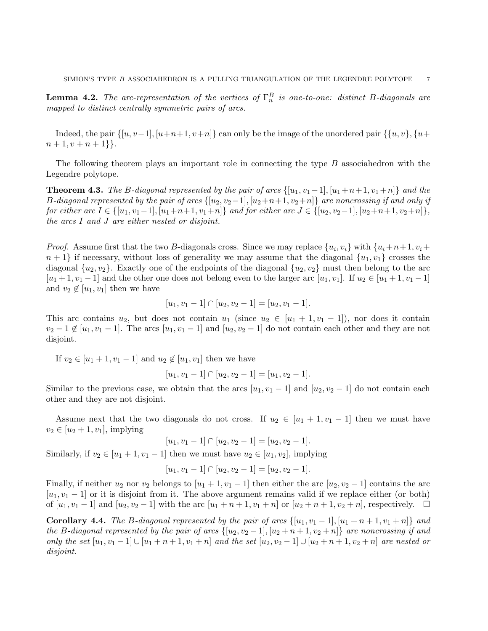**Lemma 4.2.** The arc-representation of the vertices of  $\Gamma_n^B$  is one-to-one: distinct B-diagonals are mapped to distinct centrally symmetric pairs of arcs.

Indeed, the pair  $\{[u, v-1], [u+n+1, v+n]\}$  can only be the image of the unordered pair  $\{\{u, v\}, \{u+n+1, v+n\}\}$  $n+1, v+n+1\}$ .

The following theorem plays an important role in connecting the type B associahedron with the Legendre polytope.

**Theorem 4.3.** The B-diagonal represented by the pair of arcs  $\{[u_1, v_1-1], [u_1+n+1, v_1+n]\}$  and the B-diagonal represented by the pair of arcs  $\{[u_2, v_2-1], [u_2+n+1, v_2+n]\}$  are noncrossing if and only if for either arc  $I \in \{[u_1, v_1-1], [u_1+n+1, v_1+n]\}$  and for either arc  $J \in \{[u_2, v_2-1], [u_2+n+1, v_2+n]\},$ the arcs I and J are either nested or disjoint.

*Proof.* Assume first that the two B-diagonals cross. Since we may replace  $\{u_i, v_i\}$  with  $\{u_i+n+1, v_i+\}$  $n+1$  if necessary, without loss of generality we may assume that the diagonal  $\{u_1, v_1\}$  crosses the diagonal  $\{u_2, v_2\}$ . Exactly one of the endpoints of the diagonal  $\{u_2, v_2\}$  must then belong to the arc  $[u_1+1, v_1-1]$  and the other one does not belong even to the larger arc  $[u_1, v_1]$ . If  $u_2 \in [u_1+1, v_1-1]$ and  $v_2 \notin [u_1, v_1]$  then we have

$$
[u_1, v_1 - 1] \cap [u_2, v_2 - 1] = [u_2, v_1 - 1].
$$

This arc contains  $u_2$ , but does not contain  $u_1$  (since  $u_2 \in [u_1 + 1, v_1 - 1]$ ), nor does it contain  $v_2 - 1 \notin [u_1, v_1 - 1]$ . The arcs  $[u_1, v_1 - 1]$  and  $[u_2, v_2 - 1]$  do not contain each other and they are not disjoint.

If  $v_2 \in [u_1 + 1, v_1 - 1]$  and  $u_2 \notin [u_1, v_1]$  then we have

 $[u_1, v_1 - 1] \cap [u_2, v_2 - 1] = [u_1, v_2 - 1].$ 

Similar to the previous case, we obtain that the arcs  $[u_1, v_1 - 1]$  and  $[u_2, v_2 - 1]$  do not contain each other and they are not disjoint.

Assume next that the two diagonals do not cross. If  $u_2 \in [u_1 + 1, v_1 - 1]$  then we must have  $v_2 \in [u_2+1, v_1]$ , implying

$$
[u_1, v_1 - 1] \cap [u_2, v_2 - 1] = [u_2, v_2 - 1].
$$

Similarly, if  $v_2 \in [u_1 + 1, v_1 - 1]$  then we must have  $u_2 \in [u_1, v_2]$ , implying

$$
[u_1, v_1 - 1] \cap [u_2, v_2 - 1] = [u_2, v_2 - 1].
$$

Finally, if neither  $u_2$  nor  $v_2$  belongs to  $[u_1 + 1, v_1 - 1]$  then either the arc  $[u_2, v_2 - 1]$  contains the arc  $[u_1, v_1 - 1]$  or it is disjoint from it. The above argument remains valid if we replace either (or both) of  $[u_1, v_1-1]$  and  $[u_2, v_2-1]$  with the arc  $[u_1+n+1, v_1+n]$  or  $[u_2+n+1, v_2+n]$ , respectively.  $\Box$ 

Corollary 4.4. The B-diagonal represented by the pair of arcs  $\{[u_1, v_1 - 1], [u_1 + n + 1, v_1 + n]\}$  and the B-diagonal represented by the pair of arcs  $\{[u_2, v_2 - 1], [u_2 + n + 1, v_2 + n]\}$  are noncrossing if and only the set  $[u_1, v_1 - 1] \cup [u_1 + n + 1, v_1 + n]$  and the set  $[u_2, v_2 - 1] \cup [u_2 + n + 1, v_2 + n]$  are nested or disjoint.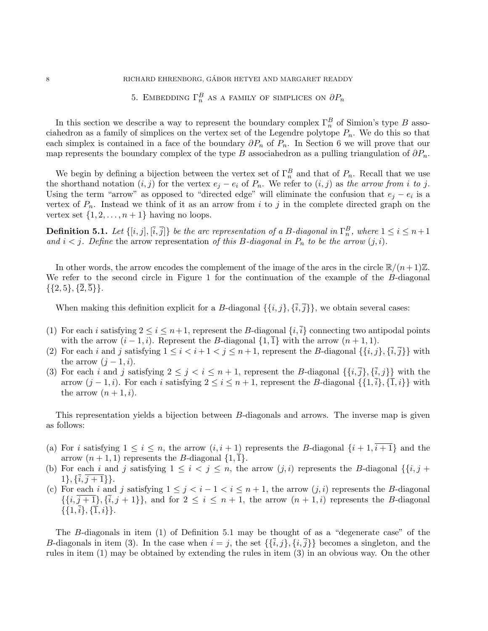5. EMBEDDING  $\Gamma_n^B$  as a family of simplices on  $\partial P_n$ 

In this section we describe a way to represent the boundary complex  $\Gamma_n^B$  of Simion's type B associahedron as a family of simplices on the vertex set of the Legendre polytope  $P_n$ . We do this so that each simplex is contained in a face of the boundary  $\partial P_n$  of  $P_n$ . In Section 6 we will prove that our map represents the boundary complex of the type B associahedron as a pulling triangulation of  $\partial P_n$ .

We begin by defining a bijection between the vertex set of  $\Gamma_n^B$  and that of  $P_n$ . Recall that we use the shorthand notation  $(i, j)$  for the vertex  $e_j - e_i$  of  $P_n$ . We refer to  $(i, j)$  as the arrow from i to j. Using the term "arrow" as opposed to "directed edge" will eliminate the confusion that  $e_j - e_i$  is a vertex of  $P_n$ . Instead we think of it as an arrow from i to j in the complete directed graph on the vertex set  $\{1, 2, \ldots, n+1\}$  having no loops.

**Definition 5.1.** Let  $\{[i,j], [\overline{i}, \overline{j}]\}$  be the arc representation of a B-diagonal in  $\Gamma_n^B$ , where  $1 \le i \le n+1$ and  $i < j$ . Define the arrow representation of this B-diagonal in  $P_n$  to be the arrow  $(j, i)$ .

In other words, the arrow encodes the complement of the image of the arcs in the circle  $\mathbb{R}/(n+1)\mathbb{Z}$ . We refer to the second circle in Figure 1 for the continuation of the example of the B-diagonal  $\{\{2,5\},\{\overline{2},\overline{5}\}\}.$ 

When making this definition explicit for a B-diagonal  $\{\{i, j\}, \{\bar{i}, \bar{j}\}\}\$ , we obtain several cases:

- (1) For each i satisfying  $2 \le i \le n+1$ , represent the B-diagonal  $\{i,\overline{i}\}$  connecting two antipodal points with the arrow  $(i-1, i)$ . Represent the B-diagonal  $\{1, \overline{1}\}\$  with the arrow  $(n + 1, 1)$ .
- (2) For each i and j satisfying  $1 \leq i \leq i+1 \leq j \leq n+1$ , represent the B-diagonal  $\{\{i, j\}, \{\overline{i}, \overline{j}\}\}\$  with the arrow  $(j-1, i)$ .
- (3) For each i and j satisfying  $2 \leq j \leq i \leq n+1$ , represent the B-diagonal  $\{\{i,\overline{j}\},\{\overline{i},j\}\}\$  with the arrow  $(j-1, i)$ . For each i satisfying  $2 \le i \le n+1$ , represent the B-diagonal  $\{\{1, \bar{i}\}, \{\bar{1}, i\}\}\$  with the arrow  $(n+1, i)$ .

This representation yields a bijection between B-diagonals and arrows. The inverse map is given as follows:

- (a) For i satisfying  $1 \leq i \leq n$ , the arrow  $(i, i + 1)$  represents the B-diagonal  $\{i + 1, i + 1\}$  and the arrow  $(n+1,1)$  represents the B-diagonal  $\{1,\overline{1}\}.$
- (b) For each i and j satisfying  $1 \leq i < j \leq n$ , the arrow  $(j, i)$  represents the B-diagonal  $\{\{i, j +$  $1\}, \{\bar{i}, \bar{j+1}\}.$
- (c) For each i and j satisfying  $1 \leq j \leq i-1 \leq i \leq n+1$ , the arrow  $(j, i)$  represents the B-diagonal  $\{\{i,\overline{j+1}\},\{\overline{i},j+1\}\}\$ , and for  $2 \leq i \leq n+1$ , the arrow  $(n+1,i)$  represents the B-diagonal  $\{\{1,\overline{i}\},\{\overline{1},i\}\}.$

The B-diagonals in item (1) of Definition 5.1 may be thought of as a "degenerate case" of the B-diagonals in item (3). In the case when  $i = j$ , the set  $\{\{\bar{i}, j\}, \{\bar{i}, \bar{j}\}\}\$  becomes a singleton, and the rules in item (1) may be obtained by extending the rules in item (3) in an obvious way. On the other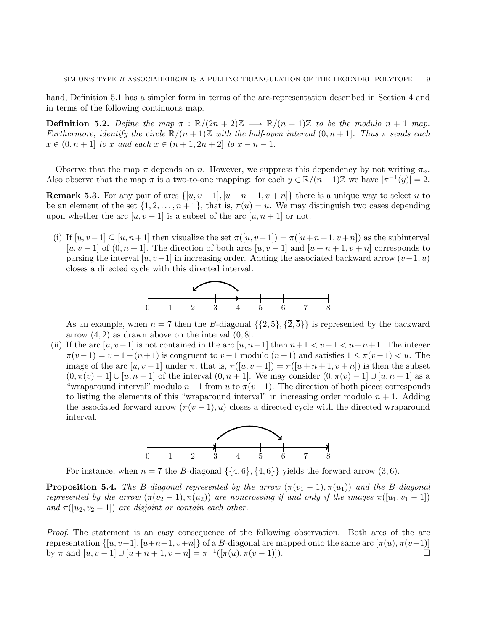hand, Definition 5.1 has a simpler form in terms of the arc-representation described in Section 4 and in terms of the following continuous map.

**Definition 5.2.** Define the map  $\pi : \mathbb{R}/(2n+2)\mathbb{Z} \longrightarrow \mathbb{R}/(n+1)\mathbb{Z}$  to be the modulo  $n+1$  map. Furthermore, identify the circle  $\mathbb{R}/(n+1)\mathbb{Z}$  with the half-open interval  $(0, n+1]$ . Thus  $\pi$  sends each  $x \in (0, n+1]$  to x and each  $x \in (n+1, 2n+2]$  to  $x - n - 1$ .

Observe that the map  $\pi$  depends on n. However, we suppress this dependency by not writing  $\pi_n$ . Also observe that the map  $\pi$  is a two-to-one mapping: for each  $y \in \mathbb{R}/(n+1)\mathbb{Z}$  we have  $|\pi^{-1}(y)| = 2$ .

**Remark 5.3.** For any pair of arcs  $\{[u, v-1], [u+n+1, v+n]\}$  there is a unique way to select u to be an element of the set  $\{1, 2, \ldots, n+1\}$ , that is,  $\pi(u) = u$ . We may distinguish two cases depending upon whether the arc  $[u, v-1]$  is a subset of the arc  $[u, n+1]$  or not.

(i) If  $[u, v-1] \subseteq [u, n+1]$  then visualize the set  $\pi([u, v-1]) = \pi([u+n+1, v+n])$  as the subinterval  $[u, v-1]$  of  $(0, n+1]$ . The direction of both arcs  $[u, v-1]$  and  $[u+n+1, v+n]$  corresponds to parsing the interval  $[u, v-1]$  in increasing order. Adding the associated backward arrow  $(v-1, u)$ closes a directed cycle with this directed interval.



As an example, when  $n = 7$  then the B-diagonal  $\{\{2,5\},\{\overline{2},\overline{5}\}\}\$ is represented by the backward arrow  $(4, 2)$  as drawn above on the interval  $(0, 8]$ .

(ii) If the arc  $[u, v-1]$  is not contained in the arc  $[u, n+1]$  then  $n+1 < v-1 < u+n+1$ . The integer  $\pi(v-1) = v-1-(n+1)$  is congruent to  $v-1$  modulo  $(n+1)$  and satisfies  $1 \leq \pi(v-1) < u$ . The image of the arc  $[u, v-1]$  under  $\pi$ , that is,  $\pi([u, v-1]) = \pi([u+n+1, v+n])$  is then the subset  $(0, \pi(v) - 1] \cup [u, n + 1]$  of the interval  $(0, n + 1]$ . We may consider  $(0, \pi(v) - 1] \cup [u, n + 1]$  as a "wraparound interval" modulo  $n+1$  from u to  $\pi(v-1)$ . The direction of both pieces corresponds to listing the elements of this "wraparound interval" in increasing order modulo  $n + 1$ . Adding the associated forward arrow  $(\pi(v-1), u)$  closes a directed cycle with the directed wraparound interval.



For instance, when  $n = 7$  the B-diagonal  $\{\{4,\overline{6}\},\{\overline{4},6\}\}\$  yields the forward arrow  $(3,6)$ .

**Proposition 5.4.** The B-diagonal represented by the arrow  $(\pi(v_1 - 1), \pi(u_1))$  and the B-diagonal represented by the arrow  $(\pi(v_2 - 1), \pi(u_2))$  are noncrossing if and only if the images  $\pi([u_1, v_1 - 1])$ and  $\pi([u_2, v_2-1])$  are disjoint or contain each other.

Proof. The statement is an easy consequence of the following observation. Both arcs of the arc representation  $\{[u, v-1], [u+n+1, v+n]\}$  of a B-diagonal are mapped onto the same arc  $[\pi(u), \pi(v-1)]$ by  $\pi$  and  $[u, v-1] \cup [u+n+1, v+n] = \pi^{-1}([\pi(u), \pi(v-1)])$ .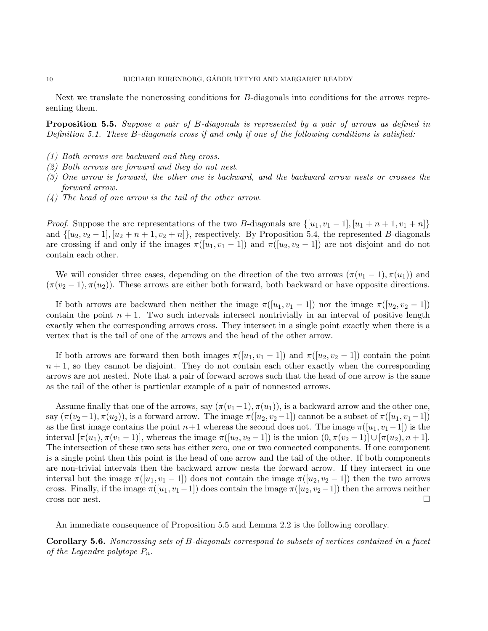Next we translate the noncrossing conditions for B-diagonals into conditions for the arrows representing them.

**Proposition 5.5.** Suppose a pair of B-diagonals is represented by a pair of arrows as defined in Definition 5.1. These B-diagonals cross if and only if one of the following conditions is satisfied:

- (1) Both arrows are backward and they cross.
- (2) Both arrows are forward and they do not nest.
- (3) One arrow is forward, the other one is backward, and the backward arrow nests or crosses the forward arrow.
- (4) The head of one arrow is the tail of the other arrow.

*Proof.* Suppose the arc representations of the two B-diagonals are  $\{[u_1, v_1 - 1], [u_1 + n + 1, v_1 + n]\}$ and  $\{[u_2, v_2-1], [u_2+n+1, v_2+n]\}$ , respectively. By Proposition 5.4, the represented B-diagonals are crossing if and only if the images  $\pi([u_1, v_1 - 1])$  and  $\pi([u_2, v_2 - 1])$  are not disjoint and do not contain each other.

We will consider three cases, depending on the direction of the two arrows  $(\pi(v_1 - 1), \pi(u_1))$  and  $(\pi(v_2-1), \pi(u_2))$ . These arrows are either both forward, both backward or have opposite directions.

If both arrows are backward then neither the image  $\pi([u_1, v_1-1])$  nor the image  $\pi([u_2, v_2-1])$ contain the point  $n + 1$ . Two such intervals intersect nontrivially in an interval of positive length exactly when the corresponding arrows cross. They intersect in a single point exactly when there is a vertex that is the tail of one of the arrows and the head of the other arrow.

If both arrows are forward then both images  $\pi([u_1, v_1 - 1])$  and  $\pi([u_2, v_2 - 1])$  contain the point  $n + 1$ , so they cannot be disjoint. They do not contain each other exactly when the corresponding arrows are not nested. Note that a pair of forward arrows such that the head of one arrow is the same as the tail of the other is particular example of a pair of nonnested arrows.

Assume finally that one of the arrows, say  $(\pi(v_1-1), \pi(u_1))$ , is a backward arrow and the other one, say  $(\pi(v_2-1), \pi(v_2))$ , is a forward arrow. The image  $\pi([u_2, v_2-1])$  cannot be a subset of  $\pi([u_1, v_1-1])$ as the first image contains the point  $n+1$  whereas the second does not. The image  $\pi([u_1, v_1-1])$  is the interval  $[\pi(u_1), \pi(v_1-1)]$ , whereas the image  $\pi([u_2, v_2-1])$  is the union  $(0, \pi(v_2-1)] \cup [\pi(u_2), n+1]$ . The intersection of these two sets has either zero, one or two connected components. If one component is a single point then this point is the head of one arrow and the tail of the other. If both components are non-trivial intervals then the backward arrow nests the forward arrow. If they intersect in one interval but the image  $\pi([u_1, v_1 - 1])$  does not contain the image  $\pi([u_2, v_2 - 1])$  then the two arrows cross. Finally, if the image  $\pi([u_1, v_1-1])$  does contain the image  $\pi([u_2, v_2-1])$  then the arrows neither cross nor nest.  $\Box$ 

An immediate consequence of Proposition 5.5 and Lemma 2.2 is the following corollary.

Corollary 5.6. Noncrossing sets of B-diagonals correspond to subsets of vertices contained in a facet of the Legendre polytope  $P_n$ .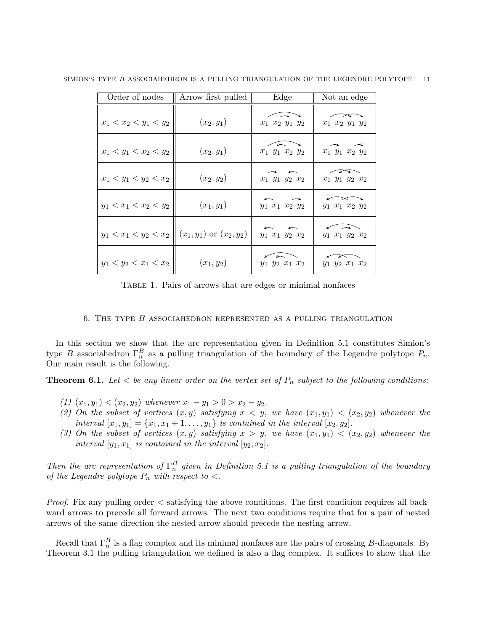| Order of nodes          | Arrow first pulled              | Edge                                                | Not an edge                                   |
|-------------------------|---------------------------------|-----------------------------------------------------|-----------------------------------------------|
| $x_1 < x_2 < y_1 < y_2$ | $(x_2, y_1)$                    | $\overline{\phantom{0}}$<br>$x_1$ $x_2$ $y_1$ $y_2$ | $x_1$ $x_2$ $y_1$ $y_2$                       |
| $x_1 < y_1 < x_2 < y_2$ | $(x_2, y_1)$                    | $\sqrt{2}$<br>$x_1$ $y_1$ $x_2$ $y_2$               | $x_1$ $y_1$ $x_2$ $y_2$                       |
| $x_1 < y_1 < y_2 < x_2$ | $(x_2,y_2)$                     | $x_1$ $y_1$ $y_2$ $x_2$                             | $\curvearrowright$<br>$x_1 \ y_1 \ y_2 \ x_2$ |
| $y_1 < x_1 < x_2 < y_2$ | $(x_1,y_1)$                     | $y_1$ $x_1$ $x_2$ $y_2$                             | $y_1$ $x_1$ $x_2$ $y_2$                       |
| $y_1 < x_1 < y_2 < x_2$ | $\  (x_1, y_1)$ or $(x_2, y_2)$ | $y_1$ $x_1$ $y_2$ $x_2$                             | $y_1$ $x_1$ $y_2$ $x_2$                       |
| $y_1 < y_2 < x_1 < x_2$ | $(x_1, y_2)$                    | $y_1 \ y_2 \ x_1 \ x_2$                             | $y_1$ $y_2$ $x_1$ $x_2$                       |

SIMION'S TYPE B ASSOCIAHEDRON IS A PULLING TRIANGULATION OF THE LEGENDRE POLYTOPE 11

Table 1. Pairs of arrows that are edges or minimal nonfaces

### 6. The type B associahedron represented as a pulling triangulation

In this section we show that the arc representation given in Definition 5.1 constitutes Simion's type B associahedron  $\Gamma_n^B$  as a pulling triangulation of the boundary of the Legendre polytope  $P_n$ . Our main result is the following.

**Theorem 6.1.** Let  $\lt$  be any linear order on the vertex set of  $P_n$  subject to the following conditions:

- (1)  $(x_1, y_1) < (x_2, y_2)$  whenever  $x_1 y_1 > 0 > x_2 y_2$ .
- (2) On the subset of vertices  $(x, y)$  satisfying  $x < y$ , we have  $(x_1, y_1) < (x_2, y_2)$  whenever the interval  $[x_1, y_1] = \{x_1, x_1 + 1, \ldots, y_1\}$  is contained in the interval  $[x_2, y_2]$ .
- (3) On the subset of vertices  $(x, y)$  satisfying  $x > y$ , we have  $(x_1, y_1) < (x_2, y_2)$  whenever the interval  $[y_1, x_1]$  is contained in the interval  $[y_2, x_2]$ .

Then the arc representation of  $\Gamma_n^B$  given in Definition 5.1 is a pulling triangulation of the boundary of the Legendre polytope  $P_n$  with respect to  $\lt$ .

*Proof.* Fix any pulling order  $\lt$  satisfying the above conditions. The first condition requires all backward arrows to precede all forward arrows. The next two conditions require that for a pair of nested arrows of the same direction the nested arrow should precede the nesting arrow.

Recall that  $\Gamma_n^B$  is a flag complex and its minimal nonfaces are the pairs of crossing B-diagonals. By Theorem 3.1 the pulling triangulation we defined is also a flag complex. It suffices to show that the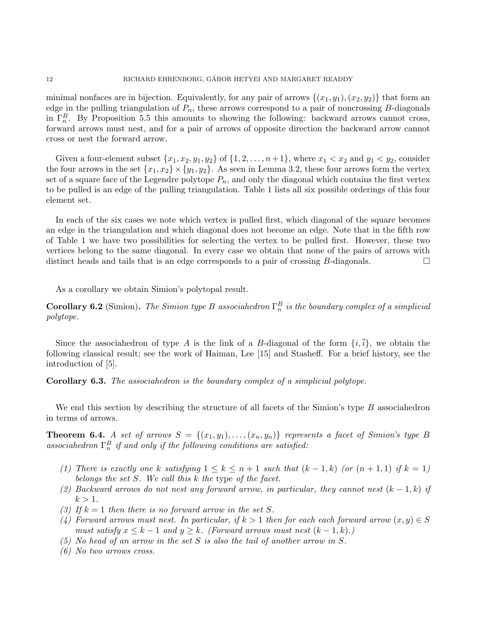minimal nonfaces are in bijection. Equivalently, for any pair of arrows  $\{(x_1, y_1), (x_2, y_2)\}\$  that form an edge in the pulling triangulation of  $P_n$ , these arrows correspond to a pair of noncrossing B-diagonals in  $\Gamma_n^B$ . By Proposition 5.5 this amounts to showing the following: backward arrows cannot cross, forward arrows must nest, and for a pair of arrows of opposite direction the backward arrow cannot cross or nest the forward arrow.

Given a four-element subset  $\{x_1, x_2, y_1, y_2\}$  of  $\{1, 2, \ldots, n+1\}$ , where  $x_1 < x_2$  and  $y_1 < y_2$ , consider the four arrows in the set  $\{x_1, x_2\} \times \{y_1, y_2\}$ . As seen in Lemma 3.2, these four arrows form the vertex set of a square face of the Legendre polytope  $P_n$ , and only the diagonal which contains the first vertex to be pulled is an edge of the pulling triangulation. Table 1 lists all six possible orderings of this four element set.

In each of the six cases we note which vertex is pulled first, which diagonal of the square becomes an edge in the triangulation and which diagonal does not become an edge. Note that in the fifth row of Table 1 we have two possibilities for selecting the vertex to be pulled first. However, these two vertices belong to the same diagonal. In every case we obtain that none of the pairs of arrows with distinct heads and tails that is an edge corresponds to a pair of crossing  $B$ -diagonals.

As a corollary we obtain Simion's polytopal result.

**Corollary 6.2** (Simion). The Simion type B associahedron  $\Gamma_n^B$  is the boundary complex of a simplicial polytope.

Since the associahedron of type A is the link of a B-diagonal of the form  $\{i,\overline{i}\}$ , we obtain the following classical result; see the work of Haiman, Lee [15] and Stasheff. For a brief history, see the introduction of [5].

Corollary 6.3. The associahedron is the boundary complex of a simplicial polytope.

We end this section by describing the structure of all facets of the Simion's type B associahedron in terms of arrows.

**Theorem 6.4.** A set of arrows  $S = \{(x_1, y_1), \ldots, (x_n, y_n)\}\$  represents a facet of Simion's type B associahedron  $\Gamma_n^B$  if and only if the following conditions are satisfied:

- (1) There is exactly one k satisfying  $1 \leq k \leq n+1$  such that  $(k-1,k)$  (or  $(n+1,1)$  if  $k=1$ ) belongs the set S. We call this k the type of the facet.
- (2) Backward arrows do not nest any forward arrow, in particular, they cannot nest  $(k 1, k)$  if  $k > 1$ .
- (3) If  $k = 1$  then there is no forward arrow in the set S.
- (4) Forward arrows must nest. In particular, if  $k > 1$  then for each each forward arrow  $(x, y) \in S$ must satisfy  $x \leq k - 1$  and  $y \geq k$ . (Forward arrows must nest  $(k - 1, k)$ .)
- $(5)$  No head of an arrow in the set S is also the tail of another arrow in S.
- (6) No two arrows cross.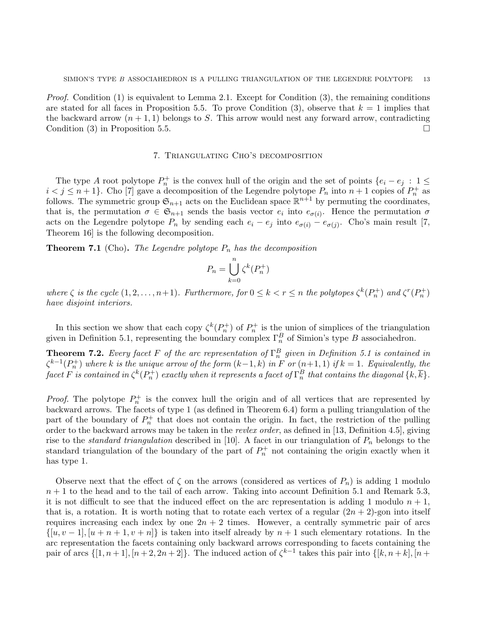*Proof.* Condition  $(1)$  is equivalent to Lemma 2.1. Except for Condition  $(3)$ , the remaining conditions are stated for all faces in Proposition 5.5. To prove Condition (3), observe that  $k = 1$  implies that the backward arrow  $(n + 1, 1)$  belongs to S. This arrow would nest any forward arrow, contradicting Condition (3) in Proposition 5.5.

### 7. Triangulating Cho's decomposition

The type A root polytope  $P_n^+$  is the convex hull of the origin and the set of points  $\{e_i - e_j : 1 \leq j \leq n\}$  $i < j \leq n+1$ . Cho [7] gave a decomposition of the Legendre polytope  $P_n$  into  $n+1$  copies of  $P_n^+$  as follows. The symmetric group  $\mathfrak{S}_{n+1}$  acts on the Euclidean space  $\mathbb{R}^{n+1}$  by permuting the coordinates, that is, the permutation  $\sigma \in \mathfrak{S}_{n+1}$  sends the basis vector  $e_i$  into  $e_{\sigma(i)}$ . Hence the permutation  $\sigma$ acts on the Legendre polytope  $P_n$  by sending each  $e_i - e_j$  into  $e_{\sigma(i)} - e_{\sigma(j)}$ . Cho's main result [7, Theorem 16] is the following decomposition.

**Theorem 7.1** (Cho). The Legendre polytope  $P_n$  has the decomposition

$$
P_n = \bigcup_{k=0}^n \zeta^k(P_n^+)
$$

where  $\zeta$  is the cycle  $(1, 2, \ldots, n+1)$ . Furthermore, for  $0 \le k < r \le n$  the polytopes  $\zeta^k(P_n^+)$  and  $\zeta^r(P_n^+)$ have disjoint interiors.

In this section we show that each copy  $\zeta^k(P_n^+)$  of  $P_n^+$  is the union of simplices of the triangulation given in Definition 5.1, representing the boundary complex  $\Gamma_n^B$  of Simion's type B associahedron.

**Theorem 7.2.** Every facet F of the arc representation of  $\Gamma_n^B$  given in Definition 5.1 is contained in  $\zeta^{k-1}(P_n^+)$  where k is the unique arrow of the form  $(k-1,k)$  in F or  $(n+1,1)$  if  $k=1$ . Equivalently, the  $\mathit{facet}\ F\ is\ contained\ in\ \zeta^k(P_n^+)\ exactly\ when\ it\ represents\ a\ facet\ of\ \Gamma^B_n\ that\ contains\ the\ diagonal\ \{k,\overline{k}\}.$ 

*Proof.* The polytope  $P_n^+$  is the convex hull the origin and of all vertices that are represented by backward arrows. The facets of type 1 (as defined in Theorem 6.4) form a pulling triangulation of the part of the boundary of  $P_n^+$  that does not contain the origin. In fact, the restriction of the pulling order to the backward arrows may be taken in the revlex order, as defined in [13, Definition 4.5], giving rise to the *standard triangulation* described in [10]. A facet in our triangulation of  $P_n$  belongs to the standard triangulation of the boundary of the part of  $P_n^+$  not containing the origin exactly when it has type 1.

Observe next that the effect of  $\zeta$  on the arrows (considered as vertices of  $P_n$ ) is adding 1 modulo  $n + 1$  to the head and to the tail of each arrow. Taking into account Definition 5.1 and Remark 5.3, it is not difficult to see that the induced effect on the arc representation is adding 1 modulo  $n + 1$ , that is, a rotation. It is worth noting that to rotate each vertex of a regular  $(2n + 2)$ -gon into itself requires increasing each index by one  $2n + 2$  times. However, a centrally symmetric pair of arcs  $\{[u, v-1], [u+n+1, v+n]\}\$ is taken into itself already by  $n+1$  such elementary rotations. In the arc representation the facets containing only backward arrows corresponding to facets containing the pair of arcs  $\{[1, n+1], [n+2, 2n+2]\}$ . The induced action of  $\zeta^{k-1}$  takes this pair into  $\{[k, n+k], [n+k]\}$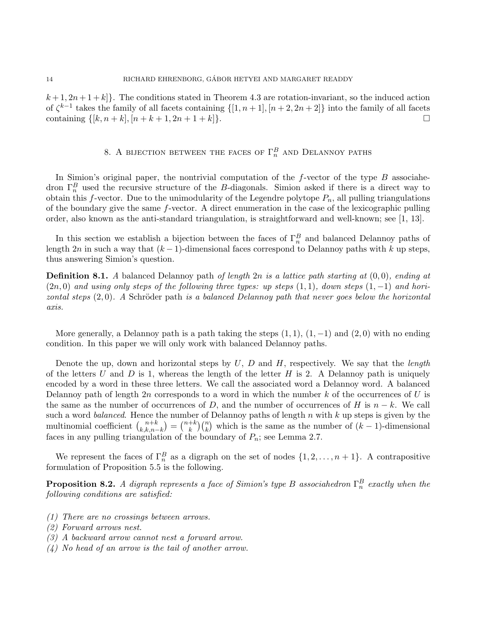$k+1, 2n+1+k$ . The conditions stated in Theorem 4.3 are rotation-invariant, so the induced action of  $\zeta^{k-1}$  takes the family of all facets containing  $\{[1, n+1], [n+2, 2n+2]\}$  into the family of all facets containing  $\{[k, n+k], [n+k+1, 2n+1+k]\}.$ 

# 8. A BIJECTION BETWEEN THE FACES OF  $\Gamma_n^B$  and Delannoy paths

In Simion's original paper, the nontrivial computation of the  $f$ -vector of the type  $B$  associahedron  $\Gamma_n^B$  used the recursive structure of the B-diagonals. Simion asked if there is a direct way to obtain this f-vector. Due to the unimodularity of the Legendre polytope  $P_n$ , all pulling triangulations of the boundary give the same  $f$ -vector. A direct enumeration in the case of the lexicographic pulling order, also known as the anti-standard triangulation, is straightforward and well-known; see [1, 13].

In this section we establish a bijection between the faces of  $\Gamma_n^B$  and balanced Delannoy paths of length 2n in such a way that  $(k-1)$ -dimensional faces correspond to Delannoy paths with k up steps, thus answering Simion's question.

**Definition 8.1.** A balanced Delannoy path of length 2n is a lattice path starting at  $(0, 0)$ , ending at  $(2n, 0)$  and using only steps of the following three types: up steps  $(1, 1)$ , down steps  $(1, -1)$  and horizontal steps  $(2,0)$ . A Schröder path is a balanced Delannoy path that never goes below the horizontal axis.

More generally, a Delannoy path is a path taking the steps  $(1, 1), (1, -1)$  and  $(2, 0)$  with no ending condition. In this paper we will only work with balanced Delannoy paths.

Denote the up, down and horizontal steps by  $U, D$  and  $H$ , respectively. We say that the *length* of the letters U and D is 1, whereas the length of the letter H is 2. A Delannoy path is uniquely encoded by a word in these three letters. We call the associated word a Delannoy word. A balanced Delannoy path of length  $2n$  corresponds to a word in which the number k of the occurrences of U is the same as the number of occurrences of D, and the number of occurrences of H is  $n - k$ . We call such a word *balanced*. Hence the number of Delannoy paths of length n with  $k$  up steps is given by the multinomial coefficient  $\binom{n+k}{k}\n\begin{bmatrix}n+k\\n\end{bmatrix}$  $\binom{n+k}{k,k,n-k} = \binom{n+k}{k}$  $\binom{k}{k}\binom{n}{k}$  which is the same as the number of  $(k-1)$ -dimensional faces in any pulling triangulation of the boundary of  $P_n$ ; see Lemma 2.7.

We represent the faces of  $\Gamma_n^B$  as a digraph on the set of nodes  $\{1, 2, ..., n+1\}$ . A contrapositive formulation of Proposition 5.5 is the following.

**Proposition 8.2.** A digraph represents a face of Simion's type B associahedron  $\Gamma_n^B$  exactly when the following conditions are satisfied:

- (1) There are no crossings between arrows.
- (2) Forward arrows nest.
- (3) A backward arrow cannot nest a forward arrow.
- (4) No head of an arrow is the tail of another arrow.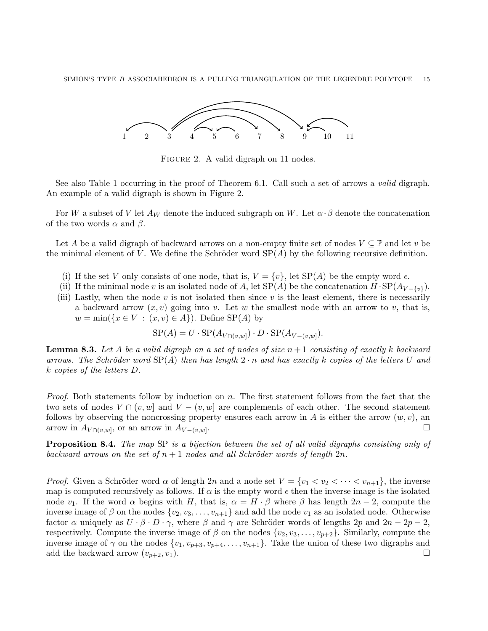

FIGURE 2. A valid digraph on 11 nodes.

See also Table 1 occurring in the proof of Theorem 6.1. Call such a set of arrows a valid digraph. An example of a valid digraph is shown in Figure 2.

For W a subset of V let  $A_W$  denote the induced subgraph on W. Let  $\alpha \cdot \beta$  denote the concatenation of the two words  $\alpha$  and  $\beta$ .

Let A be a valid digraph of backward arrows on a non-empty finite set of nodes  $V \subseteq \mathbb{P}$  and let v be the minimal element of V. We define the Schröder word  $SP(A)$  by the following recursive definition.

- (i) If the set V only consists of one node, that is,  $V = \{v\}$ , let  $SP(A)$  be the empty word  $\epsilon$ .
- (ii) If the minimal node v is an isolated node of A, let  $SP(A)$  be the concatenation  $H \cdot SP(A_{V \{v\}})$ .
- (iii) Lastly, when the node v is not isolated then since v is the least element, there is necessarily a backward arrow  $(x, v)$  going into v. Let w the smallest node with an arrow to v, that is,  $w = \min({x \in V : (x, v) \in A})$ . Define  $SP(A)$  by

$$
SP(A) = U \cdot SP(A_{V \cap (v,w)}) \cdot D \cdot SP(A_{V - (v,w)}).
$$

**Lemma 8.3.** Let A be a valid digraph on a set of nodes of size  $n + 1$  consisting of exactly k backward arrows. The Schröder word  $SP(A)$  then has length  $2 \cdot n$  and has exactly k copies of the letters U and k copies of the letters D.

*Proof.* Both statements follow by induction on n. The first statement follows from the fact that the two sets of nodes  $V \cap (v, w]$  and  $V - (v, w]$  are complements of each other. The second statement follows by observing the noncrossing property ensures each arrow in A is either the arrow  $(w, v)$ , and arrow in  $A_{V \cap (v,w]}$ , or an arrow in  $A_{V-(v,w]}$ .

Proposition 8.4. The map SP is a bijection between the set of all valid digraphs consisting only of backward arrows on the set of  $n + 1$  nodes and all Schröder words of length  $2n$ .

*Proof.* Given a Schröder word  $\alpha$  of length 2n and a node set  $V = \{v_1 < v_2 < \cdots < v_{n+1}\}\)$ , the inverse map is computed recursively as follows. If  $\alpha$  is the empty word  $\epsilon$  then the inverse image is the isolated node  $v_1$ . If the word  $\alpha$  begins with H, that is,  $\alpha = H \cdot \beta$  where  $\beta$  has length  $2n - 2$ , compute the inverse image of  $\beta$  on the nodes  $\{v_2, v_3, \ldots, v_{n+1}\}$  and add the node  $v_1$  as an isolated node. Otherwise factor  $\alpha$  uniquely as  $U \cdot \beta \cdot D \cdot \gamma$ , where  $\beta$  and  $\gamma$  are Schröder words of lengths 2p and  $2n - 2p - 2$ , respectively. Compute the inverse image of  $\beta$  on the nodes  $\{v_2, v_3, \ldots, v_{p+2}\}$ . Similarly, compute the inverse image of  $\gamma$  on the nodes  $\{v_1, v_{p+3}, v_{p+4}, \ldots, v_{n+1}\}$ . Take the union of these two digraphs and add the backward arrow  $(v_{p+2}, v_1)$ .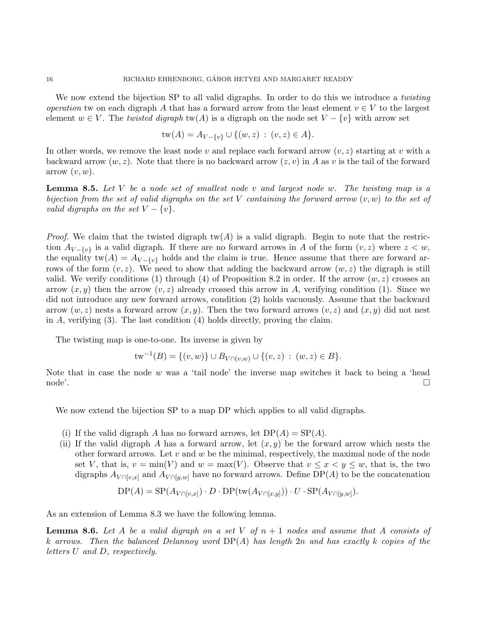We now extend the bijection SP to all valid digraphs. In order to do this we introduce a *twisting* operation tw on each digraph A that has a forward arrow from the least element  $v \in V$  to the largest element  $w \in V$ . The twisted digraph tw(A) is a digraph on the node set  $V - \{v\}$  with arrow set

$$
tw(A) = A_{V - \{v\}} \cup \{(w, z) : (v, z) \in A\}.
$$

In other words, we remove the least node v and replace each forward arrow  $(v, z)$  starting at v with a backward arrow  $(w, z)$ . Note that there is no backward arrow  $(z, v)$  in A as v is the tail of the forward arrow  $(v, w)$ .

**Lemma 8.5.** Let V be a node set of smallest node v and largest node w. The twisting map is a bijection from the set of valid digraphs on the set V containing the forward arrow  $(v, w)$  to the set of valid digraphs on the set  $V - \{v\}$ .

*Proof.* We claim that the twisted digraph  $tw(A)$  is a valid digraph. Begin to note that the restriction  $A_{V-\{v\}}$  is a valid digraph. If there are no forward arrows in A of the form  $(v, z)$  where  $z < w$ , the equality tw(A) =  $A_{V-\{v\}}$  holds and the claim is true. Hence assume that there are forward arrows of the form  $(v, z)$ . We need to show that adding the backward arrow  $(w, z)$  the digraph is still valid. We verify conditions (1) through (4) of Proposition 8.2 in order. If the arrow  $(w, z)$  crosses an arrow  $(x, y)$  then the arrow  $(v, z)$  already crossed this arrow in A, verifying condition (1). Since we did not introduce any new forward arrows, condition (2) holds vacuously. Assume that the backward arrow  $(w, z)$  nests a forward arrow  $(x, y)$ . Then the two forward arrows  $(v, z)$  and  $(x, y)$  did not nest in  $A$ , verifying  $(3)$ . The last condition  $(4)$  holds directly, proving the claim.

The twisting map is one-to-one. Its inverse is given by

$$
tw^{-1}(B) = \{(v, w)\} \cup B_{V \cap (v, w)} \cup \{(v, z) : (w, z) \in B\}.
$$

Note that in case the node  $w$  was a 'tail node' the inverse map switches it back to being a 'head node'. □

We now extend the bijection SP to a map DP which applies to all valid digraphs.

- (i) If the valid digraph A has no forward arrows, let  $DP(A) = SP(A)$ .
- (ii) If the valid digraph A has a forward arrow, let  $(x, y)$  be the forward arrow which nests the other forward arrows. Let  $v$  and  $w$  be the minimal, respectively, the maximal node of the node set V, that is,  $v = \min(V)$  and  $w = \max(V)$ . Observe that  $v \leq x < y \leq w$ , that is, the two digraphs  $A_{V \cap [v,x]}$  and  $A_{V \cap [y,w]}$  have no forward arrows. Define DP(A) to be the concatenation

$$
DP(A) = SP(A_{V \cap [v,x]}) \cdot D \cdot DP(\text{tw}(A_{V \cap [x,y]})) \cdot U \cdot SP(A_{V \cap [y,w]}).
$$

As an extension of Lemma 8.3 we have the following lemma.

**Lemma 8.6.** Let A be a valid digraph on a set V of  $n + 1$  nodes and assume that A consists of k arrows. Then the balanced Delannoy word  $DP(A)$  has length 2n and has exactly k copies of the letters U and D, respectively.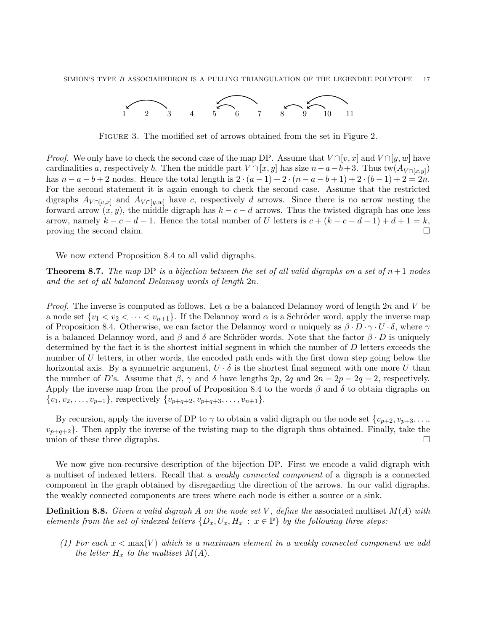

Figure 3. The modified set of arrows obtained from the set in Figure 2.

*Proof.* We only have to check the second case of the map DP. Assume that  $V \cap [v, x]$  and  $V \cap [y, w]$  have cardinalities a, respectively b. Then the middle part  $V \cap [x, y]$  has size  $n-a-b+3$ . Thus tw $(A_{V \cap [x, y]})$ has  $n - a - b + 2$  nodes. Hence the total length is  $2 \cdot (a - 1) + 2 \cdot (n - a - b + 1) + 2 \cdot (b - 1) + 2 = 2n$ . For the second statement it is again enough to check the second case. Assume that the restricted digraphs  $A_{V \cap [v,x]}$  and  $A_{V \cap [y,w]}$  have c, respectively d arrows. Since there is no arrow nesting the forward arrow  $(x, y)$ , the middle digraph has  $k - c - d$  arrows. Thus the twisted digraph has one less arrow, namely  $k - c - d - 1$ . Hence the total number of U letters is  $c + (k - c - d - 1) + d + 1 = k$ , proving the second claim.  $\Box$ 

We now extend Proposition 8.4 to all valid digraphs.

**Theorem 8.7.** The map DP is a bijection between the set of all valid digraphs on a set of  $n+1$  nodes and the set of all balanced Delannoy words of length 2n.

*Proof.* The inverse is computed as follows. Let  $\alpha$  be a balanced Delannoy word of length 2n and V be a node set  $\{v_1 < v_2 < \cdots < v_{n+1}\}\$ . If the Delannoy word  $\alpha$  is a Schröder word, apply the inverse map of Proposition 8.4. Otherwise, we can factor the Delannoy word  $\alpha$  uniquely as  $\beta \cdot D \cdot \gamma \cdot U \cdot \delta$ , where  $\gamma$ is a balanced Delannoy word, and β and δ are Schröder words. Note that the factor  $\beta \cdot D$  is uniquely determined by the fact it is the shortest initial segment in which the number of D letters exceeds the number of U letters, in other words, the encoded path ends with the first down step going below the horizontal axis. By a symmetric argument,  $U \cdot \delta$  is the shortest final segment with one more U than the number of D's. Assume that  $\beta$ ,  $\gamma$  and  $\delta$  have lengths 2p, 2q and 2n – 2p – 2q – 2, respectively. Apply the inverse map from the proof of Proposition 8.4 to the words  $\beta$  and  $\delta$  to obtain digraphs on  $\{v_1, v_2, \ldots, v_{p-1}\},$  respectively  $\{v_{p+q+2}, v_{p+q+3}, \ldots, v_{n+1}\}.$ 

By recursion, apply the inverse of DP to  $\gamma$  to obtain a valid digraph on the node set  $\{v_{p+2}, v_{p+3}, \ldots, v_{p+1}, \ldots, v_{p+1}, \ldots, v_{p+1}, \ldots, v_{p+1}, \ldots, v_{p+1}, \ldots, v_{p+1}, \ldots, v_{p+1}, \ldots, v_{p+1}, \ldots, v_{p+1}, \ldots, v_{p+1}, \ldots, v_{p+1}, \ldots, v_{p+$  $v_{p+q+2}$ . Then apply the inverse of the twisting map to the digraph thus obtained. Finally, take the union of these three digraphs.

We now give non-recursive description of the bijection DP. First we encode a valid digraph with a multiset of indexed letters. Recall that a weakly connected component of a digraph is a connected component in the graph obtained by disregarding the direction of the arrows. In our valid digraphs, the weakly connected components are trees where each node is either a source or a sink.

**Definition 8.8.** Given a valid digraph A on the node set V, define the associated multiset  $M(A)$  with elements from the set of indexed letters  $\{D_x, U_x, H_x : x \in \mathbb{P}\}\$  by the following three steps:

(1) For each  $x < \max(V)$  which is a maximum element in a weakly connected component we add the letter  $H_x$  to the multiset  $M(A)$ .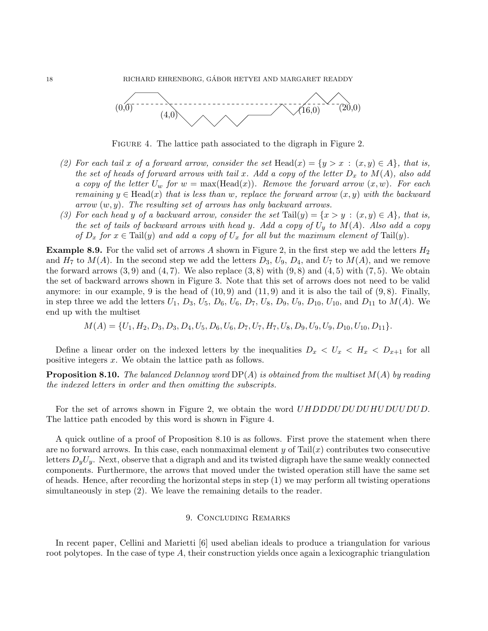

FIGURE 4. The lattice path associated to the digraph in Figure 2.

- (2) For each tail x of a forward arrow, consider the set Head(x) = {y > x :  $(x, y) \in A$ }, that is, the set of heads of forward arrows with tail x. Add a copy of the letter  $D_x$  to  $M(A)$ , also add a copy of the letter  $U_w$  for  $w = \max(\text{Head}(x))$ . Remove the forward arrow  $(x, w)$ . For each remaining  $y \in \text{Head}(x)$  that is less than w, replace the forward arrow  $(x, y)$  with the backward  $arrow(w, y)$ . The resulting set of arrows has only backward arrows.
- (3) For each head y of a backward arrow, consider the set  $\text{Tail}(y) = \{x > y : (x, y) \in A\}$ , that is, the set of tails of backward arrows with head y. Add a copy of  $U_y$  to  $M(A)$ . Also add a copy of  $D_x$  for  $x \in \text{Tail}(y)$  and add a copy of  $U_x$  for all but the maximum element of  $\text{Tail}(y)$ .

**Example 8.9.** For the valid set of arrows A shown in Figure 2, in the first step we add the letters  $H_2$ and  $H_7$  to  $M(A)$ . In the second step we add the letters  $D_3$ ,  $U_9$ ,  $D_4$ , and  $U_7$  to  $M(A)$ , and we remove the forward arrows  $(3, 9)$  and  $(4, 7)$ . We also replace  $(3, 8)$  with  $(9, 8)$  and  $(4, 5)$  with  $(7, 5)$ . We obtain the set of backward arrows shown in Figure 3. Note that this set of arrows does not need to be valid anymore: in our example, 9 is the head of  $(10, 9)$  and  $(11, 9)$  and it is also the tail of  $(9, 8)$ . Finally, in step three we add the letters  $U_1$ ,  $D_3$ ,  $U_5$ ,  $D_6$ ,  $U_6$ ,  $D_7$ ,  $U_8$ ,  $D_9$ ,  $U_9$ ,  $D_{10}$ ,  $U_{10}$ , and  $D_{11}$  to  $M(A)$ . We end up with the multiset

$$
M(A) = \{U_1, H_2, D_3, D_3, D_4, U_5, D_6, U_6, D_7, U_7, H_7, U_8, D_9, U_9, U_9, D_{10}, U_{10}, D_{11}\}.
$$

Define a linear order on the indexed letters by the inequalities  $D_x < U_x < H_x < D_{x+1}$  for all positive integers x. We obtain the lattice path as follows.

**Proposition 8.10.** The balanced Delannoy word  $DP(A)$  is obtained from the multiset  $M(A)$  by reading the indexed letters in order and then omitting the subscripts.

For the set of arrows shown in Figure 2, we obtain the word UHDDDUDUDUHUDUUDUD. The lattice path encoded by this word is shown in Figure 4.

A quick outline of a proof of Proposition 8.10 is as follows. First prove the statement when there are no forward arrows. In this case, each nonmaximal element y of Tail $(x)$  contributes two consecutive letters  $D_{\nu}U_{\nu}$ . Next, observe that a digraph and and its twisted digraph have the same weakly connected components. Furthermore, the arrows that moved under the twisted operation still have the same set of heads. Hence, after recording the horizontal steps in step (1) we may perform all twisting operations simultaneously in step (2). We leave the remaining details to the reader.

## 9. Concluding Remarks

In recent paper, Cellini and Marietti [6] used abelian ideals to produce a triangulation for various root polytopes. In the case of type  $A$ , their construction yields once again a lexicographic triangulation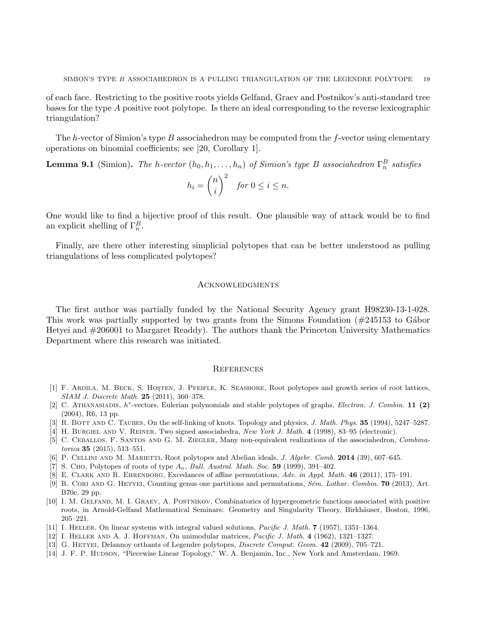of each face. Restricting to the positive roots yields Gelfand, Graev and Postnikov's anti-standard tree bases for the type A positive root polytope. Is there an ideal corresponding to the reverse lexicographic triangulation?

The h-vector of Simion's type  $B$  associahedron may be computed from the f-vector using elementary operations on binomial coefficients; see [20, Corollary 1].

## **Lemma 9.1** (Simion). The h-vector  $(h_0, h_1, \ldots, h_n)$  of Simion's type B associahedron  $\Gamma_n^B$  satisfies  $h_i = \binom{n}{i}$ i  $\bigg\}^2 \quad \text{for } 0 \leq i \leq n.$

One would like to find a bijective proof of this result. One plausible way of attack would be to find an explicit shelling of  $\Gamma_n^B$ .

Finally, are there other interesting simplicial polytopes that can be better understood as pulling triangulations of less complicated polytopes?

## **ACKNOWLEDGMENTS**

The first author was partially funded by the National Security Agency grant H98230-13-1-028. This work was partially supported by two grants from the Simons Foundation  $#245153$  to Gábor Hetyei and #206001 to Margaret Readdy). The authors thank the Princeton University Mathematics Department where this research was initiated.

### **REFERENCES**

- [1] F. ARDILA, M. BECK, S. HOSTEN, J. PFEIFLE, K. SEASHORE, Root polytopes and growth series of root lattices, SIAM J. Discrete Math. 25 (2011), 360–378.
- [2] C. ATHANASIADIS,  $h^*$ -vectors, Eulerian polynomials and stable polytopes of graphs, Electron. J. Combin. 11 (2) (2004), R6, 13 pp.
- [3] R. BOTT AND C. TAUBES, On the self-linking of knots. Topology and physics, J. Math. Phys. 35 (1994), 5247–5287.
- [4] H. Burgiel and V. Reiner, Two signed associahedra, New York J. Math. 4 (1998), 83–95 (electronic).
- [5] C. Ceballos, F. Santos and G. M. Ziegler, Many non-equivalent realizations of the associahedron, Combina $torica$  35 (2015), 513-551.
- [6] P. CELLINI AND M. MARIETTI, Root polytopes and Abelian ideals, *J. Algebr. Comb.* **2014** (39), 607–645.
- [7] S. Cho, Polytopes of roots of type  $A_n$ , Bull. Austral. Math. Soc. 59 (1999), 391–402.
- [8] E. Clark and R. Ehrenborg, Excedances of affine permutations, Adv. in Appl. Math. 46 (2011), 175–191.
- [9] R. Cori AND G. HETYEI, Counting genus one partitions and permutations, Sém. Lothar. Combin. 70 (2013), Art. B70e, 29 pp.
- [10] I. M. Gelfand, M. I. Graev, A. Postnikov, Combinatorics of hypergeometric functions associated with positive roots, in Arnold-Gelfand Mathematical Seminars: Geometry and Singularity Theory, Birkhäuser, Boston, 1996, 205–221.
- [11] I. Heller, On linear systems with integral valued solutions, Pacific J. Math. 7 (1957), 1351–1364.
- [12] I. Heller and A. J. Hoffman, On unimodular matrices, Pacific J. Math. 4 (1962), 1321–1327.
- [13] G. HETYEI, Delannoy orthants of Legendre polytopes, *Discrete Comput. Geom.* 42 (2009), 705–721.
- [14] J. F. P. Hudson, "Piecewise Linear Topology," W. A. Benjamin, Inc., New York and Amsterdam, 1969.